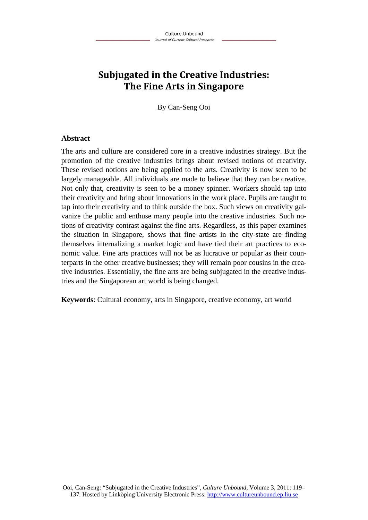# **Subjugated in the Creative Industries: The Fine Arts in Singapore**

By Can-Seng Ooi

#### **Abstract**

The arts and culture are considered core in a creative industries strategy. But the promotion of the creative industries brings about revised notions of creativity. These revised notions are being applied to the arts. Creativity is now seen to be largely manageable. All individuals are made to believe that they can be creative. Not only that, creativity is seen to be a money spinner. Workers should tap into their creativity and bring about innovations in the work place. Pupils are taught to tap into their creativity and to think outside the box. Such views on creativity galvanize the public and enthuse many people into the creative industries. Such notions of creativity contrast against the fine arts. Regardless, as this paper examines the situation in Singapore, shows that fine artists in the city-state are finding themselves internalizing a market logic and have tied their art practices to economic value. Fine arts practices will not be as lucrative or popular as their counterparts in the other creative businesses; they will remain poor cousins in the creative industries. Essentially, the fine arts are being subjugated in the creative industries and the Singaporean art world is being changed.

**Keywords**: Cultural economy, arts in Singapore, creative economy, art world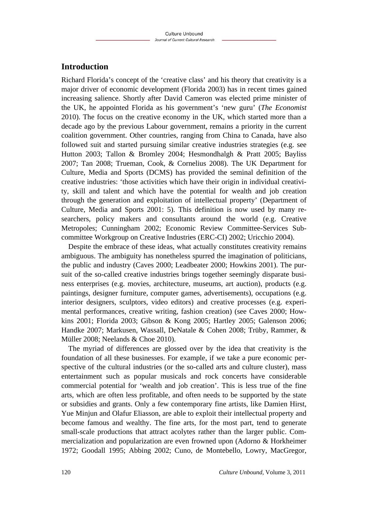# **Introduction**

Richard Florida's concept of the 'creative class' and his theory that creativity is a major driver of economic development (Florida 2003) has in recent times gained increasing salience. Shortly after David Cameron was elected prime minister of the UK, he appointed Florida as his government's 'new guru' (*The Economist* 2010). The focus on the creative economy in the UK, which started more than a decade ago by the previous Labour government, remains a priority in the current coalition government. Other countries, ranging from China to Canada, have also followed suit and started pursuing similar creative industries strategies (e.g. see Hutton 2003; Tallon & Bromley 2004; Hesmondhalgh & Pratt 2005; Bayliss 2007; Tan 2008; Trueman, Cook, & Cornelius 2008). The UK Department for Culture, Media and Sports (DCMS) has provided the seminal definition of the creative industries: 'those activities which have their origin in individual creativity, skill and talent and which have the potential for wealth and job creation through the generation and exploitation of intellectual property' (Department of Culture, Media and Sports 2001: 5). This definition is now used by many researchers, policy makers and consultants around the world (e.g. Creative Metropoles; Cunningham 2002; Economic Review Committee-Services Subcommittee Workgroup on Creative Industries (ERC-CI) 2002; Uricchio 2004).

Despite the embrace of these ideas, what actually constitutes creativity remains ambiguous. The ambiguity has nonetheless spurred the imagination of politicians, the public and industry (Caves 2000; Leadbeater 2000; Howkins 2001). The pursuit of the so-called creative industries brings together seemingly disparate business enterprises (e.g. movies, architecture, museums, art auction), products (e.g. paintings, designer furniture, computer games, advertisements), occupations (e.g. interior designers, sculptors, video editors) and creative processes (e.g. experimental performances, creative writing, fashion creation) (see Caves 2000; Howkins 2001; Florida 2003; Gibson & Kong 2005; Hartley 2005; Galenson 2006; Handke 2007; Markusen, Wassall, DeNatale & Cohen 2008; Trüby, Rammer, & Müller 2008; Neelands & Choe 2010).

The myriad of differences are glossed over by the idea that creativity is the foundation of all these businesses. For example, if we take a pure economic perspective of the cultural industries (or the so-called arts and culture cluster), mass entertainment such as popular musicals and rock concerts have considerable commercial potential for 'wealth and job creation'. This is less true of the fine arts, which are often less profitable, and often needs to be supported by the state or subsidies and grants. Only a few contemporary fine artists, like Damien Hirst, Yue Minjun and Olafur Eliasson, are able to exploit their intellectual property and become famous and wealthy. The fine arts, for the most part, tend to generate small-scale productions that attract acolytes rather than the larger public. Commercialization and popularization are even frowned upon (Adorno & Horkheimer 1972; Goodall 1995; Abbing 2002; Cuno, de Montebello, Lowry, MacGregor,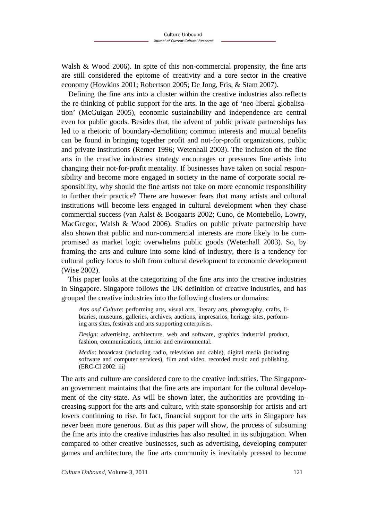Walsh & Wood 2006). In spite of this non-commercial propensity, the fine arts are still considered the epitome of creativity and a core sector in the creative economy (Howkins 2001; Robertson 2005; De Jong, Fris, & Stam 2007).

Defining the fine arts into a cluster within the creative industries also reflects the re-thinking of public support for the arts. In the age of 'neo-liberal globalisation' (McGuigan 2005), economic sustainability and independence are central even for public goods. Besides that, the advent of public private partnerships has led to a rhetoric of boundary-demolition; common interests and mutual benefits can be found in bringing together profit and not-for-profit organizations, public and private institutions (Remer 1996; Wetenhall 2003). The inclusion of the fine arts in the creative industries strategy encourages or pressures fine artists into changing their not-for-profit mentality. If businesses have taken on social responsibility and become more engaged in society in the name of corporate social responsibility, why should the fine artists not take on more economic responsibility to further their practice? There are however fears that many artists and cultural institutions will become less engaged in cultural development when they chase commercial success (van Aalst & Boogaarts 2002; Cuno, de Montebello, Lowry, MacGregor, Walsh & Wood 2006). Studies on public private partnership have also shown that public and non-commercial interests are more likely to be compromised as market logic overwhelms public goods (Wetenhall 2003). So, by framing the arts and culture into some kind of industry, there is a tendency for cultural policy focus to shift from cultural development to economic development (Wise 2002).

This paper looks at the categorizing of the fine arts into the creative industries in Singapore. Singapore follows the UK definition of creative industries, and has grouped the creative industries into the following clusters or domains:

*Arts and Culture*: performing arts, visual arts, literary arts, photography, crafts, libraries, museums, galleries, archives, auctions, impresarios, heritage sites, performing arts sites, festivals and arts supporting enterprises.

*Design*: advertising, architecture, web and software, graphics industrial product, fashion, communications, interior and environmental.

*Media*: broadcast (including radio, television and cable), digital media (including software and computer services), film and video, recorded music and publishing. (ERC-CI 2002: iii)

The arts and culture are considered core to the creative industries. The Singaporean government maintains that the fine arts are important for the cultural development of the city-state. As will be shown later, the authorities are providing increasing support for the arts and culture, with state sponsorship for artists and art lovers continuing to rise. In fact, financial support for the arts in Singapore has never been more generous. But as this paper will show, the process of subsuming the fine arts into the creative industries has also resulted in its subjugation. When compared to other creative businesses, such as advertising, developing computer games and architecture, the fine arts community is inevitably pressed to become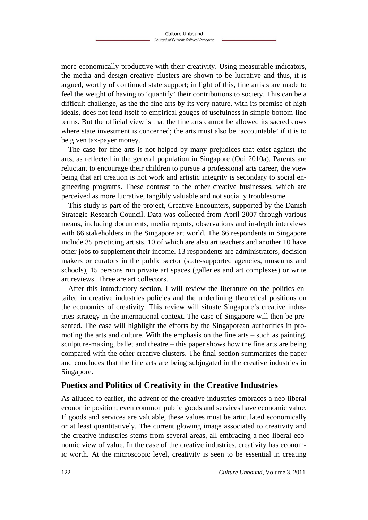more economically productive with their creativity. Using measurable indicators, the media and design creative clusters are shown to be lucrative and thus, it is argued, worthy of continued state support; in light of this, fine artists are made to feel the weight of having to 'quantify' their contributions to society. This can be a difficult challenge, as the the fine arts by its very nature, with its premise of high ideals, does not lend itself to empirical gauges of usefulness in simple bottom-line terms. But the official view is that the fine arts cannot be allowed its sacred cows where state investment is concerned; the arts must also be 'accountable' if it is to be given tax-payer money.

The case for fine arts is not helped by many prejudices that exist against the arts, as reflected in the general population in Singapore (Ooi 2010a). Parents are reluctant to encourage their children to pursue a professional arts career, the view being that art creation is not work and artistic integrity is secondary to social engineering programs. These contrast to the other creative businesses, which are perceived as more lucrative, tangibly valuable and not socially troublesome.

This study is part of the project, Creative Encounters, supported by the Danish Strategic Research Council. Data was collected from April 2007 through various means, including documents, media reports, observations and in-depth interviews with 66 stakeholders in the Singapore art world. The 66 respondents in Singapore include 35 practicing artists, 10 of which are also art teachers and another 10 have other jobs to supplement their income. 13 respondents are administrators, decision makers or curators in the public sector (state-supported agencies, museums and schools), 15 persons run private art spaces (galleries and art complexes) or write art reviews. Three are art collectors.

After this introductory section, I will review the literature on the politics entailed in creative industries policies and the underlining theoretical positions on the economics of creativity. This review will situate Singapore's creative industries strategy in the international context. The case of Singapore will then be presented. The case will highlight the efforts by the Singaporean authorities in promoting the arts and culture. With the emphasis on the fine arts – such as painting, sculpture-making, ballet and theatre – this paper shows how the fine arts are being compared with the other creative clusters. The final section summarizes the paper and concludes that the fine arts are being subjugated in the creative industries in Singapore.

### **Poetics and Politics of Creativity in the Creative Industries**

As alluded to earlier, the advent of the creative industries embraces a neo-liberal economic position; even common public goods and services have economic value. If goods and services are valuable, these values must be articulated economically or at least quantitatively. The current glowing image associated to creativity and the creative industries stems from several areas, all embracing a neo-liberal economic view of value. In the case of the creative industries, creativity has economic worth. At the microscopic level, creativity is seen to be essential in creating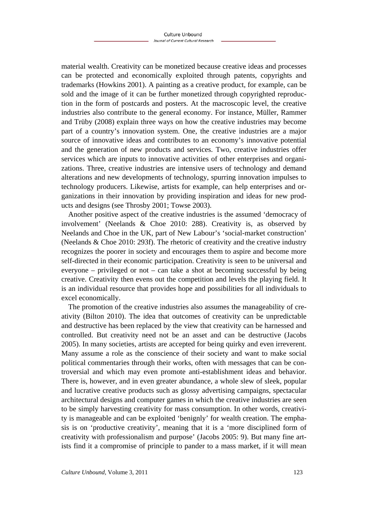material wealth. Creativity can be monetized because creative ideas and processes can be protected and economically exploited through patents, copyrights and trademarks (Howkins 2001). A painting as a creative product, for example, can be sold and the image of it can be further monetized through copyrighted reproduction in the form of postcards and posters. At the macroscopic level, the creative industries also contribute to the general economy. For instance, Müller, Rammer and Trüby (2008) explain three ways on how the creative industries may become part of a country's innovation system. One, the creative industries are a major source of innovative ideas and contributes to an economy's innovative potential and the generation of new products and services. Two, creative industries offer services which are inputs to innovative activities of other enterprises and organizations. Three, creative industries are intensive users of technology and demand alterations and new developments of technology, spurring innovation impulses to technology producers. Likewise, artists for example, can help enterprises and organizations in their innovation by providing inspiration and ideas for new products and designs (see Throsby 2001; Towse 2003).

Another positive aspect of the creative industries is the assumed 'democracy of involvement' (Neelands & Choe 2010: 288). Creativity is, as observed by Neelands and Choe in the UK, part of New Labour's 'social-market construction' (Neelands & Choe 2010: 293f). The rhetoric of creativity and the creative industry recognizes the poorer in society and encourages them to aspire and become more self-directed in their economic participation. Creativity is seen to be universal and everyone – privileged or not – can take a shot at becoming successful by being creative. Creativity then evens out the competition and levels the playing field. It is an individual resource that provides hope and possibilities for all individuals to excel economically.

The promotion of the creative industries also assumes the manageability of creativity (Bilton 2010). The idea that outcomes of creativity can be unpredictable and destructive has been replaced by the view that creativity can be harnessed and controlled. But creativity need not be an asset and can be destructive (Jacobs 2005). In many societies, artists are accepted for being quirky and even irreverent. Many assume a role as the conscience of their society and want to make social political commentaries through their works, often with messages that can be controversial and which may even promote anti-establishment ideas and behavior. There is, however, and in even greater abundance, a whole slew of sleek, popular and lucrative creative products such as glossy advertising campaigns, spectacular architectural designs and computer games in which the creative industries are seen to be simply harvesting creativity for mass consumption. In other words, creativity is manageable and can be exploited 'benignly' for wealth creation. The emphasis is on 'productive creativity', meaning that it is a 'more disciplined form of creativity with professionalism and purpose' (Jacobs 2005: 9). But many fine artists find it a compromise of principle to pander to a mass market, if it will mean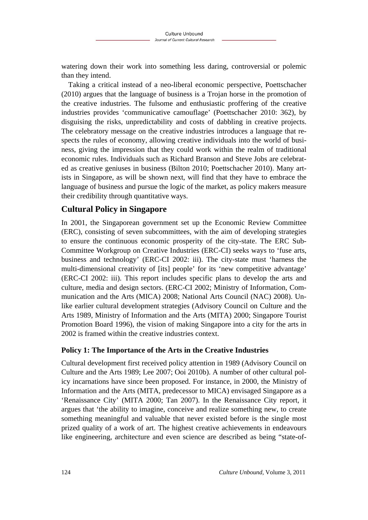watering down their work into something less daring, controversial or polemic than they intend.

Taking a critical instead of a neo-liberal economic perspective, Poettschacher (2010) argues that the language of business is a Trojan horse in the promotion of the creative industries. The fulsome and enthusiastic proffering of the creative industries provides 'communicative camouflage' (Poettschacher 2010: 362), by disguising the risks, unpredictability and costs of dabbling in creative projects. The celebratory message on the creative industries introduces a language that respects the rules of economy, allowing creative individuals into the world of business, giving the impression that they could work within the realm of traditional economic rules. Individuals such as Richard Branson and Steve Jobs are celebrated as creative geniuses in business (Bilton 2010; Poettschacher 2010). Many artists in Singapore, as will be shown next, will find that they have to embrace the language of business and pursue the logic of the market, as policy makers measure their credibility through quantitative ways.

## **Cultural Policy in Singapore**

In 2001, the Singaporean government set up the Economic Review Committee (ERC), consisting of seven subcommittees, with the aim of developing strategies to ensure the continuous economic prosperity of the city-state. The ERC Sub-Committee Workgroup on Creative Industries (ERC-CI) seeks ways to 'fuse arts, business and technology' (ERC-CI 2002: iii). The city-state must 'harness the multi-dimensional creativity of [its] people' for its 'new competitive advantage' (ERC-CI 2002: iii). This report includes specific plans to develop the arts and culture, media and design sectors. (ERC-CI 2002; Ministry of Information, Communication and the Arts (MICA) 2008; National Arts Council (NAC) 2008). Unlike earlier cultural development strategies (Advisory Council on Culture and the Arts 1989, Ministry of Information and the Arts (MITA) 2000; Singapore Tourist Promotion Board 1996), the vision of making Singapore into a city for the arts in 2002 is framed within the creative industries context.

### **Policy 1: The Importance of the Arts in the Creative Industries**

Cultural development first received policy attention in 1989 (Advisory Council on Culture and the Arts 1989; Lee 2007; Ooi 2010b). A number of other cultural policy incarnations have since been proposed. For instance, in 2000, the Ministry of Information and the Arts (MITA, predecessor to MICA) envisaged Singapore as a 'Renaissance City' (MITA 2000; Tan 2007). In the Renaissance City report, it argues that 'the ability to imagine, conceive and realize something new, to create something meaningful and valuable that never existed before is the single most prized quality of a work of art. The highest creative achievements in endeavours like engineering, architecture and even science are described as being "state-of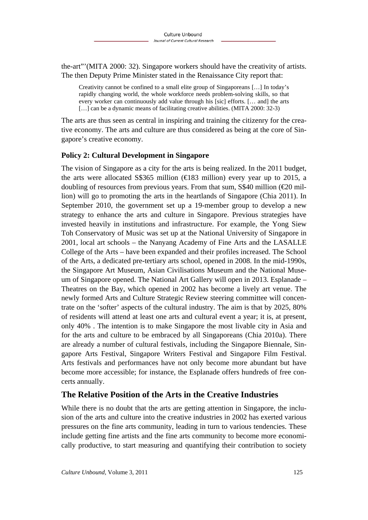the-art"'(MITA 2000: 32). Singapore workers should have the creativity of artists. The then Deputy Prime Minister stated in the Renaissance City report that:

Creativity cannot be confined to a small elite group of Singaporeans […] In today's rapidly changing world, the whole workforce needs problem-solving skills, so that every worker can continuously add value through his [sic] efforts. [… and] the arts [...] can be a dynamic means of facilitating creative abilities. (MITA 2000: 32-3)

The arts are thus seen as central in inspiring and training the citizenry for the creative economy. The arts and culture are thus considered as being at the core of Singapore's creative economy.

### **Policy 2: Cultural Development in Singapore**

The vision of Singapore as a city for the arts is being realized. In the 2011 budget, the arts were allocated S\$365 million ( $\in$ 183 million) every year up to 2015, a doubling of resources from previous years. From that sum, S\$40 million ( $\epsilon$ 20 million) will go to promoting the arts in the heartlands of Singapore (Chia 2011). In September 2010, the government set up a 19-member group to develop a new strategy to enhance the arts and culture in Singapore. Previous strategies have invested heavily in institutions and infrastructure. For example, the Yong Siew Toh Conservatory of Music was set up at the National University of Singapore in 2001, local art schools – the Nanyang Academy of Fine Arts and the LASALLE College of the Arts – have been expanded and their profiles increased. The School of the Arts, a dedicated pre-tertiary arts school, opened in 2008. In the mid-1990s, the Singapore Art Museum, Asian Civilisations Museum and the National Museum of Singapore opened. The National Art Gallery will open in 2013. Esplanade – Theatres on the Bay, which opened in 2002 has become a lively art venue. The newly formed Arts and Culture Strategic Review steering committee will concentrate on the 'softer' aspects of the cultural industry. The aim is that by 2025, 80% of residents will attend at least one arts and cultural event a year; it is, at present, only 40% . The intention is to make Singapore the most livable city in Asia and for the arts and culture to be embraced by all Singaporeans (Chia 2010a). There are already a number of cultural festivals, including the Singapore Biennale, Singapore Arts Festival, Singapore Writers Festival and Singapore Film Festival. Arts festivals and performances have not only become more abundant but have become more accessible; for instance, the Esplanade offers hundreds of free concerts annually.

# **The Relative Position of the Arts in the Creative Industries**

While there is no doubt that the arts are getting attention in Singapore, the inclusion of the arts and culture into the creative industries in 2002 has exerted various pressures on the fine arts community, leading in turn to various tendencies. These include getting fine artists and the fine arts community to become more economically productive, to start measuring and quantifying their contribution to society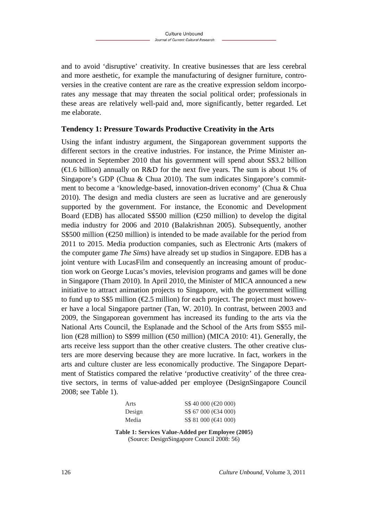and to avoid 'disruptive' creativity. In creative businesses that are less cerebral and more aesthetic, for example the manufacturing of designer furniture, controversies in the creative content are rare as the creative expression seldom incorporates any message that may threaten the social political order; professionals in these areas are relatively well-paid and, more significantly, better regarded. Let me elaborate.

#### **Tendency 1: Pressure Towards Productive Creativity in the Arts**

Using the infant industry argument, the Singaporean government supports the different sectors in the creative industries. For instance, the Prime Minister announced in September 2010 that his government will spend about S\$3.2 billion  $(\text{E1.6 billion})$  annually on R&D for the next five years. The sum is about 1% of Singapore's GDP (Chua & Chua 2010). The sum indicates Singapore's commitment to become a 'knowledge-based, innovation-driven economy' (Chua & Chua 2010). The design and media clusters are seen as lucrative and are generously supported by the government. For instance, the Economic and Development Board (EDB) has allocated S\$500 million ( $E$ 50 million) to develop the digital media industry for 2006 and 2010 (Balakrishnan 2005). Subsequently, another S\$500 million ( $\epsilon$ 250 million) is intended to be made available for the period from 2011 to 2015. Media production companies, such as Electronic Arts (makers of the computer game *The Sims*) have already set up studios in Singapore. EDB has a joint venture with LucasFilm and consequently an increasing amount of production work on George Lucas's movies, television programs and games will be done in Singapore (Tham 2010). In April 2010, the Minister of MICA announced a new initiative to attract animation projects to Singapore, with the government willing to fund up to S\$5 million ( $\epsilon$ 2.5 million) for each project. The project must however have a local Singapore partner (Tan, W. 2010). In contrast, between 2003 and 2009, the Singaporean government has increased its funding to the arts via the National Arts Council, the Esplanade and the School of the Arts from S\$55 million ( $\text{\textcircled{28}}$  million) to S\$99 million ( $\text{\textcircled{60}}$  million) (MICA 2010: 41). Generally, the arts receive less support than the other creative clusters. The other creative clusters are more deserving because they are more lucrative. In fact, workers in the arts and culture cluster are less economically productive. The Singapore Department of Statistics compared the relative 'productive creativity' of the three creative sectors, in terms of value-added per employee (DesignSingapore Council 2008; see Table 1).

| Arts   | S\$40 000 (€20 000)  |
|--------|----------------------|
| Design | S\$ 67 000 (€34 000) |
| Media  | S\$ 81 000 (€41 000) |

**Table 1: Services Value-Added per Employee (2005)**  (Source: DesignSingapore Council 2008: 56)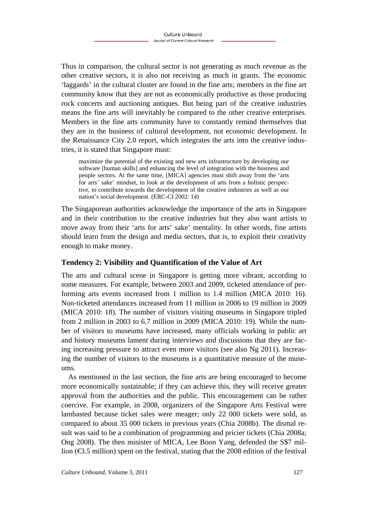Thus in comparison, the cultural sector is not generating as much revenue as the other creative sectors, it is also not receiving as much in grants. The economic 'laggards' in the cultural cluster are found in the fine arts; members in the fine art community know that they are not as economically productive as those producing rock concerts and auctioning antiques. But being part of the creative industries means the fine arts will inevitably be compared to the other creative enterprises. Members in the fine arts community have to constantly remind themselves that they are in the business of cultural development, not economic development. In the Renaissance City 2.0 report, which integrates the arts into the creative industries, it is stated that Singapore must:

maximize the potential of the existing and new arts infrastructure by developing our software [human skills] and enhancing the level of integration with the business and people sectors. At the same time, [MICA] agencies must shift away from the 'arts for arts' sake' mindset, to look at the development of arts from a holistic perspective, to contribute towards the development of the creative industries as well as our nation's social development. (ERC-CI 2002: 14)

The Singaporean authorities acknowledge the importance of the arts in Singapore and in their contribution to the creative industries but they also want artists to move away from their 'arts for arts' sake' mentality. In other words, fine artists should learn from the design and media sectors, that is, to exploit their creativity enough to make money.

### **Tendency 2: Visibility and Quantification of the Value of Art**

The arts and cultural scene in Singapore is getting more vibrant, according to some measures. For example, between 2003 and 2009, ticketed attendance of performing arts events increased from 1 million to 1.4 million (MICA 2010: 16). Non-ticketed attendances increased from 11 million in 2006 to 19 million in 2009 (MICA 2010: 18). The number of visitors visiting museums in Singapore tripled from 2 million in 2003 to 6.7 million in 2009 (MICA 2010: 19). While the number of visitors to museums have increased, many officials working in public art and history museums lament during interviews and discussions that they are facing increasing pressure to attract even more visitors (see also Ng 2011). Increasing the number of visitors to the museums is a quantitative measure of the museums.

As mentioned in the last section, the fine arts are being encouraged to become more economically sustainable; if they can achieve this, they will receive greater approval from the authorities and the public. This encouragement can be rather coercive. For example, in 2008, organizers of the Singapore Arts Festival were lambasted because ticket sales were meager; only 22 000 tickets were sold, as compared to about 35 000 tickets in previous years (Chia 2008b). The dismal result was said to be a combination of programming and pricier tickets (Chia 2008a; Ong 2008). The then minister of MICA, Lee Boon Yang, defended the S\$7 million ( $\text{\textsterling}3.5$  million) spent on the festival, stating that the 2008 edition of the festival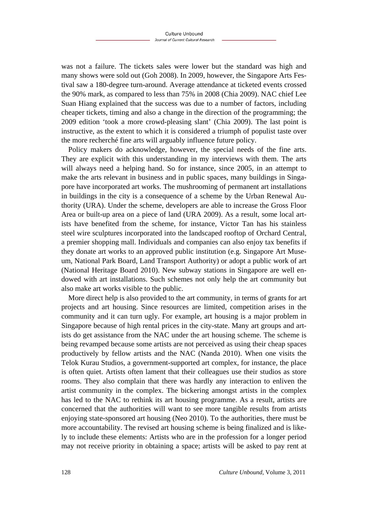was not a failure. The tickets sales were lower but the standard was high and many shows were sold out (Goh 2008). In 2009, however, the Singapore Arts Festival saw a 180-degree turn-around. Average attendance at ticketed events crossed the 90% mark, as compared to less than 75% in 2008 (Chia 2009). NAC chief Lee Suan Hiang explained that the success was due to a number of factors, including cheaper tickets, timing and also a change in the direction of the programming; the 2009 edition 'took a more crowd-pleasing slant' (Chia 2009). The last point is instructive, as the extent to which it is considered a triumph of populist taste over the more recherché fine arts will arguably influence future policy.

Policy makers do acknowledge, however, the special needs of the fine arts. They are explicit with this understanding in my interviews with them. The arts will always need a helping hand. So for instance, since 2005, in an attempt to make the arts relevant in business and in public spaces, many buildings in Singapore have incorporated art works. The mushrooming of permanent art installations in buildings in the city is a consequence of a scheme by the Urban Renewal Authority (URA). Under the scheme, developers are able to increase the Gross Floor Area or built-up area on a piece of land (URA 2009). As a result, some local artists have benefited from the scheme, for instance, Victor Tan has his stainless steel wire sculptures incorporated into the landscaped rooftop of Orchard Central, a premier shopping mall. Individuals and companies can also enjoy tax benefits if they donate art works to an approved public institution (e.g. Singapore Art Museum, National Park Board, Land Transport Authority) or adopt a public work of art (National Heritage Board 2010). New subway stations in Singapore are well endowed with art installations. Such schemes not only help the art community but also make art works visible to the public.

More direct help is also provided to the art community, in terms of grants for art projects and art housing. Since resources are limited, competition arises in the community and it can turn ugly. For example, art housing is a major problem in Singapore because of high rental prices in the city-state. Many art groups and artists do get assistance from the NAC under the art housing scheme. The scheme is being revamped because some artists are not perceived as using their cheap spaces productively by fellow artists and the NAC (Nanda 2010). When one visits the Telok Kurau Studios, a government-supported art complex, for instance, the place is often quiet. Artists often lament that their colleagues use their studios as store rooms. They also complain that there was hardly any interaction to enliven the artist community in the complex. The bickering amongst artists in the complex has led to the NAC to rethink its art housing programme. As a result, artists are concerned that the authorities will want to see more tangible results from artists enjoying state-sponsored art housing (Neo 2010). To the authorities, there must be more accountability. The revised art housing scheme is being finalized and is likely to include these elements: Artists who are in the profession for a longer period may not receive priority in obtaining a space; artists will be asked to pay rent at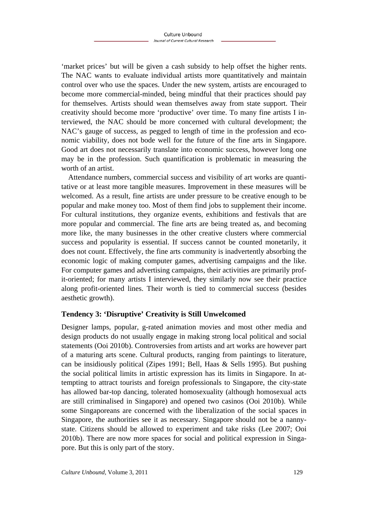'market prices' but will be given a cash subsidy to help offset the higher rents. The NAC wants to evaluate individual artists more quantitatively and maintain control over who use the spaces. Under the new system, artists are encouraged to become more commercial-minded, being mindful that their practices should pay for themselves. Artists should wean themselves away from state support. Their creativity should become more 'productive' over time. To many fine artists I interviewed, the NAC should be more concerned with cultural development; the NAC's gauge of success, as pegged to length of time in the profession and economic viability, does not bode well for the future of the fine arts in Singapore. Good art does not necessarily translate into economic success, however long one may be in the profession. Such quantification is problematic in measuring the worth of an artist.

Attendance numbers, commercial success and visibility of art works are quantitative or at least more tangible measures. Improvement in these measures will be welcomed. As a result, fine artists are under pressure to be creative enough to be popular and make money too. Most of them find jobs to supplement their income. For cultural institutions, they organize events, exhibitions and festivals that are more popular and commercial. The fine arts are being treated as, and becoming more like, the many businesses in the other creative clusters where commercial success and popularity is essential. If success cannot be counted monetarily, it does not count. Effectively, the fine arts community is inadvertently absorbing the economic logic of making computer games, advertising campaigns and the like. For computer games and advertising campaigns, their activities are primarily profit-oriented; for many artists I interviewed, they similarly now see their practice along profit-oriented lines. Their worth is tied to commercial success (besides aesthetic growth).

### **Tendency 3: 'Disruptive' Creativity is Still Unwelcomed**

Designer lamps, popular, g-rated animation movies and most other media and design products do not usually engage in making strong local political and social statements (Ooi 2010b). Controversies from artists and art works are however part of a maturing arts scene. Cultural products, ranging from paintings to literature, can be insidiously political (Zipes 1991; Bell, Haas & Sells 1995). But pushing the social political limits in artistic expression has its limits in Singapore. In attempting to attract tourists and foreign professionals to Singapore, the city-state has allowed bar-top dancing, tolerated homosexuality (although homosexual acts are still criminalised in Singapore) and opened two casinos (Ooi 2010b). While some Singaporeans are concerned with the liberalization of the social spaces in Singapore, the authorities see it as necessary. Singapore should not be a nannystate. Citizens should be allowed to experiment and take risks (Lee 2007; Ooi 2010b). There are now more spaces for social and political expression in Singapore. But this is only part of the story.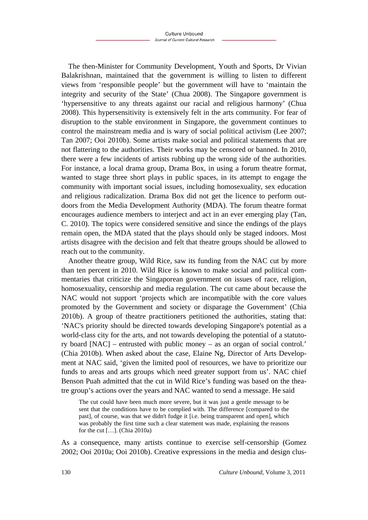The then-Minister for Community Development, Youth and Sports, Dr Vivian Balakrishnan, maintained that the government is willing to listen to different views from 'responsible people' but the government will have to 'maintain the integrity and security of the State' (Chua 2008). The Singapore government is 'hypersensitive to any threats against our racial and religious harmony' (Chua 2008). This hypersensitivity is extensively felt in the arts community. For fear of disruption to the stable environment in Singapore, the government continues to control the mainstream media and is wary of social political activism (Lee 2007; Tan 2007; Ooi 2010b). Some artists make social and political statements that are not flattering to the authorities. Their works may be censored or banned. In 2010, there were a few incidents of artists rubbing up the wrong side of the authorities. For instance, a local drama group, Drama Box, in using a forum theatre format, wanted to stage three short plays in public spaces, in its attempt to engage the community with important social issues, including homosexuality, sex education and religious radicalization. Drama Box did not get the licence to perform outdoors from the Media Development Authority (MDA). The forum theatre format encourages audience members to interject and act in an ever emerging play (Tan, C. 2010). The topics were considered sensitive and since the endings of the plays remain open, the MDA stated that the plays should only be staged indoors. Most artists disagree with the decision and felt that theatre groups should be allowed to reach out to the community.

Another theatre group, Wild Rice, saw its funding from the NAC cut by more than ten percent in 2010. Wild Rice is known to make social and political commentaries that criticize the Singaporean government on issues of race, religion, homosexuality, censorship and media regulation. The cut came about because the NAC would not support 'projects which are incompatible with the core values promoted by the Government and society or disparage the Government' (Chia 2010b). A group of theatre practitioners petitioned the authorities, stating that: 'NAC's priority should be directed towards developing Singapore's potential as a world-class city for the arts, and not towards developing the potential of a statutory board [NAC] – entrusted with public money – as an organ of social control.' (Chia 2010b). When asked about the case, Elaine Ng, Director of Arts Development at NAC said, 'given the limited pool of resources, we have to prioritize our funds to areas and arts groups which need greater support from us'. NAC chief Benson Puah admitted that the cut in Wild Rice's funding was based on the theatre group's actions over the years and NAC wanted to send a message. He said

The cut could have been much more severe, but it was just a gentle message to be sent that the conditions have to be complied with. The difference [compared to the past], of course, was that we didn't fudge it [i.e. being transparent and open], which was probably the first time such a clear statement was made, explaining the reasons for the cut […]. (Chia 2010a)

As a consequence, many artists continue to exercise self-censorship (Gomez 2002; Ooi 2010a; Ooi 2010b). Creative expressions in the media and design clus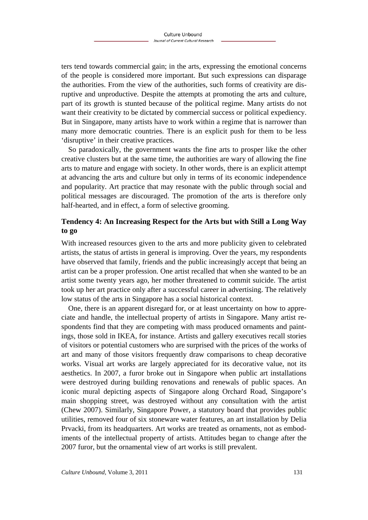ters tend towards commercial gain; in the arts, expressing the emotional concerns of the people is considered more important. But such expressions can disparage the authorities. From the view of the authorities, such forms of creativity are disruptive and unproductive. Despite the attempts at promoting the arts and culture, part of its growth is stunted because of the political regime. Many artists do not want their creativity to be dictated by commercial success or political expediency. But in Singapore, many artists have to work within a regime that is narrower than many more democratic countries. There is an explicit push for them to be less 'disruptive' in their creative practices.

So paradoxically, the government wants the fine arts to prosper like the other creative clusters but at the same time, the authorities are wary of allowing the fine arts to mature and engage with society. In other words, there is an explicit attempt at advancing the arts and culture but only in terms of its economic independence and popularity. Art practice that may resonate with the public through social and political messages are discouraged. The promotion of the arts is therefore only half-hearted, and in effect, a form of selective grooming.

### **Tendency 4: An Increasing Respect for the Arts but with Still a Long Way to go**

With increased resources given to the arts and more publicity given to celebrated artists, the status of artists in general is improving. Over the years, my respondents have observed that family, friends and the public increasingly accept that being an artist can be a proper profession. One artist recalled that when she wanted to be an artist some twenty years ago, her mother threatened to commit suicide. The artist took up her art practice only after a successful career in advertising. The relatively low status of the arts in Singapore has a social historical context.

One, there is an apparent disregard for, or at least uncertainty on how to appreciate and handle, the intellectual property of artists in Singapore. Many artist respondents find that they are competing with mass produced ornaments and paintings, those sold in IKEA, for instance. Artists and gallery executives recall stories of visitors or potential customers who are surprised with the prices of the works of art and many of those visitors frequently draw comparisons to cheap decorative works. Visual art works are largely appreciated for its decorative value, not its aesthetics. In 2007, a furor broke out in Singapore when public art installations were destroyed during building renovations and renewals of public spaces. An iconic mural depicting aspects of Singapore along Orchard Road, Singapore's main shopping street, was destroyed without any consultation with the artist (Chew 2007). Similarly, Singapore Power, a statutory board that provides public utilities, removed four of six stoneware water features, an art installation by Delia Prvacki, from its headquarters. Art works are treated as ornaments, not as embodiments of the intellectual property of artists. Attitudes began to change after the 2007 furor, but the ornamental view of art works is still prevalent.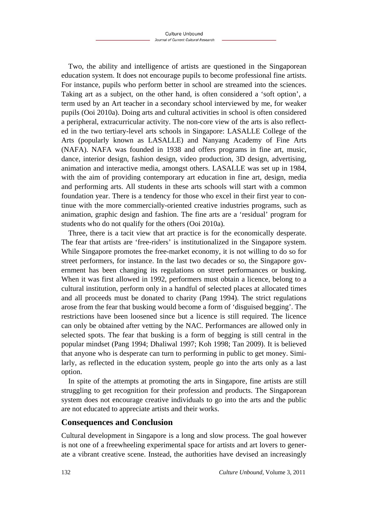Two, the ability and intelligence of artists are questioned in the Singaporean education system. It does not encourage pupils to become professional fine artists. For instance, pupils who perform better in school are streamed into the sciences. Taking art as a subject, on the other hand, is often considered a 'soft option', a term used by an Art teacher in a secondary school interviewed by me, for weaker pupils (Ooi 2010a). Doing arts and cultural activities in school is often considered a peripheral, extracurricular activity. The non-core view of the arts is also reflected in the two tertiary-level arts schools in Singapore: LASALLE College of the Arts (popularly known as LASALLE) and Nanyang Academy of Fine Arts (NAFA). NAFA was founded in 1938 and offers programs in fine art, music, dance, interior design, fashion design, video production, 3D design, advertising, animation and interactive media, amongst others. LASALLE was set up in 1984, with the aim of providing contemporary art education in fine art, design, media and performing arts. All students in these arts schools will start with a common foundation year. There is a tendency for those who excel in their first year to continue with the more commercially-oriented creative industries programs, such as animation, graphic design and fashion. The fine arts are a 'residual' program for students who do not qualify for the others (Ooi 2010a).

Three, there is a tacit view that art practice is for the economically desperate. The fear that artists are 'free-riders' is institutionalized in the Singapore system. While Singapore promotes the free-market economy, it is not willing to do so for street performers, for instance. In the last two decades or so, the Singapore government has been changing its regulations on street performances or busking. When it was first allowed in 1992, performers must obtain a licence, belong to a cultural institution, perform only in a handful of selected places at allocated times and all proceeds must be donated to charity (Pang 1994). The strict regulations arose from the fear that busking would become a form of 'disguised begging'. The restrictions have been loosened since but a licence is still required. The licence can only be obtained after vetting by the NAC. Performances are allowed only in selected spots. The fear that busking is a form of begging is still central in the popular mindset (Pang 1994; Dhaliwal 1997; Koh 1998; Tan 2009). It is believed that anyone who is desperate can turn to performing in public to get money. Similarly, as reflected in the education system, people go into the arts only as a last option.

In spite of the attempts at promoting the arts in Singapore, fine artists are still struggling to get recognition for their profession and products. The Singaporean system does not encourage creative individuals to go into the arts and the public are not educated to appreciate artists and their works.

### **Consequences and Conclusion**

Cultural development in Singapore is a long and slow process. The goal however is not one of a freewheeling experimental space for artists and art lovers to generate a vibrant creative scene. Instead, the authorities have devised an increasingly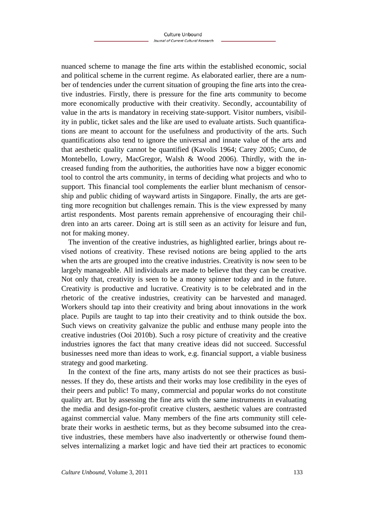nuanced scheme to manage the fine arts within the established economic, social and political scheme in the current regime. As elaborated earlier, there are a number of tendencies under the current situation of grouping the fine arts into the creative industries. Firstly, there is pressure for the fine arts community to become more economically productive with their creativity. Secondly, accountability of value in the arts is mandatory in receiving state-support. Visitor numbers, visibility in public, ticket sales and the like are used to evaluate artists. Such quantifications are meant to account for the usefulness and productivity of the arts. Such quantifications also tend to ignore the universal and innate value of the arts and that aesthetic quality cannot be quantified (Kavolis 1964; Carey 2005; Cuno, de Montebello, Lowry, MacGregor, Walsh & Wood 2006). Thirdly, with the increased funding from the authorities, the authorities have now a bigger economic tool to control the arts community, in terms of deciding what projects and who to support. This financial tool complements the earlier blunt mechanism of censorship and public chiding of wayward artists in Singapore. Finally, the arts are getting more recognition but challenges remain. This is the view expressed by many artist respondents. Most parents remain apprehensive of encouraging their children into an arts career. Doing art is still seen as an activity for leisure and fun, not for making money.

The invention of the creative industries, as highlighted earlier, brings about revised notions of creativity. These revised notions are being applied to the arts when the arts are grouped into the creative industries. Creativity is now seen to be largely manageable. All individuals are made to believe that they can be creative. Not only that, creativity is seen to be a money spinner today and in the future. Creativity is productive and lucrative. Creativity is to be celebrated and in the rhetoric of the creative industries, creativity can be harvested and managed. Workers should tap into their creativity and bring about innovations in the work place. Pupils are taught to tap into their creativity and to think outside the box. Such views on creativity galvanize the public and enthuse many people into the creative industries (Ooi 2010b). Such a rosy picture of creativity and the creative industries ignores the fact that many creative ideas did not succeed. Successful businesses need more than ideas to work, e.g. financial support, a viable business strategy and good marketing.

In the context of the fine arts, many artists do not see their practices as businesses. If they do, these artists and their works may lose credibility in the eyes of their peers and public! To many, commercial and popular works do not constitute quality art. But by assessing the fine arts with the same instruments in evaluating the media and design-for-profit creative clusters, aesthetic values are contrasted against commercial value. Many members of the fine arts community still celebrate their works in aesthetic terms, but as they become subsumed into the creative industries, these members have also inadvertently or otherwise found themselves internalizing a market logic and have tied their art practices to economic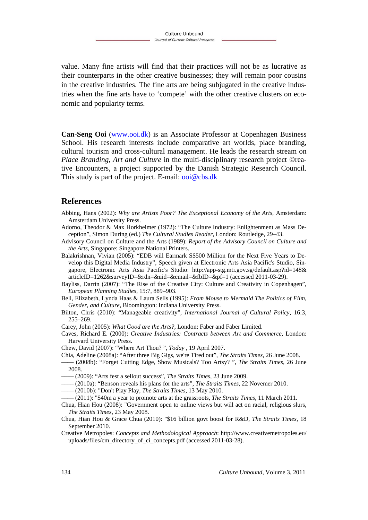value. Many fine artists will find that their practices will not be as lucrative as their counterparts in the other creative businesses; they will remain poor cousins in the creative industries. The fine arts are being subjugated in the creative industries when the fine arts have to 'compete' with the other creative clusters on economic and popularity terms.

**Can-Seng Ooi** (www.ooi.dk) is an Associate Professor at Copenhagen Business School. His research interests include comparative art worlds, place branding, cultural tourism and cross-cultural management. He leads the research stream on *Place Branding, Art and Culture* in the multi-disciplinary research project ©reative Encounters, a project supported by the Danish Strategic Research Council. This study is part of the project. E-mail:  $\overline{\text{ooi}\text{@cbs}}$ .dk

#### **References**

- Abbing, Hans (2002): *Why are Artists Poor? The Exceptional Economy of the Arts,* Amsterdam: Amsterdam University Press.
- Adorno, Theodor & Max Horkheimer (1972): "The Culture Industry: Enlightenment as Mass Deception", Simon During (ed.) *The Cultural Studies Reader*, London: Routledge, 29–43.
- Advisory Council on Culture and the Arts (1989): *Report of the Advisory Council on Culture and the Arts*, Singapore: Singapore National Printers.

Balakrishnan, Vivian (2005): "EDB will Earmark S\$500 Million for the Next Five Years to Develop this Digital Media Industry", Speech given at Electronic Arts Asia Pacific's Studio, Singapore, Electronic Arts Asia Pacific's Studio: http://app-stg.mti.gov.sg/default.asp?id=148& articleID=1262&surveyID=&rdn=&uid=&email=&fbID=&pf=1 (accessed 2011-03-29).

Bayliss, Darrin (2007): "The Rise of the Creative City: Culture and Creativity in Copenhagen", *European Planning Studies*, 15:7, 889–903.

Bell, Elizabeth, Lynda Haas & Laura Sells (1995): *From Mouse to Mermaid The Politics of Film, Gender, and Culture,* Bloomington: Indiana University Press.

Bilton, Chris (2010): "Manageable creativity", *International Journal of Cultural Policy*, 16:3, 255–269.

Carey, John (2005): *What Good are the Arts?,* London: Faber and Faber Limited.

Caves, Richard E. (2000): *Creative Industries: Contracts between Art and Commerce,* London: Harvard University Press.

Chew, David (2007): "Where Art Thou? ", *Today* , 19 April 2007.

- Chia, Adeline (2008a): "After three Big Gigs, we're Tired out", *The Straits Times*, 26 June 2008.
- –––– (2008b): "Forget Cutting Edge, Show Musicals? Too Artsy? ", *The Straits Times*, 26 June 2008.
- –––– (2009): "Arts fest a sellout success", *The Straits Times*, 23 June 2009.
- –––– (2010a): "Benson reveals his plans for the arts", *The Straits Times*, 22 Novemer 2010.
- –––– (2010b): "Don't Play Play, *The Straits Times*, 13 May 2010.
- –––– (2011): "\$40m a year to promote arts at the grassroots, *The Straits Times*, 11 March 2011.
- Chua, Hian Hou (2008): "Government open to online views but will act on racial, religious slurs, *The Straits Times*, 23 May 2008.
- Chua, Hian Hou & Grace Chua (2010): "\$16 billion govt boost for R&D, *The Straits Times*, 18 September 2010.
- Creative Metropoles: *Concepts and Methodological Approach*: http://www.creativemetropoles.eu/ uploads/files/cm\_directory\_of\_ci\_concepts.pdf (accessed 2011-03-28).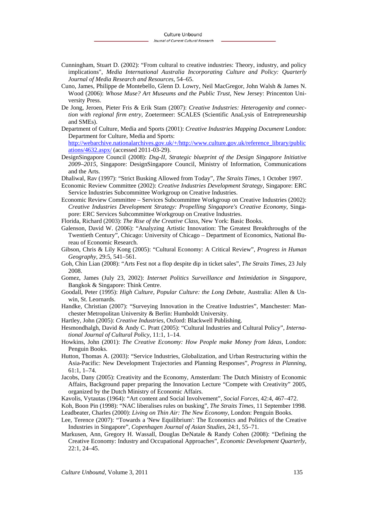- Cunningham, Stuart D. (2002): "From cultural to creative industries: Theory, industry, and policy implications", *Media International Australia Incorporating Culture and Policy: Quarterly Journal of Media Research and Resources,* 54–65.
- Cuno, James, Philippe de Montebello, Glenn D. Lowry, Neil MacGregor, John Walsh & James N. Wood (2006): *Whose Muse? Art Museums and the Public Trust,* New Jersey: Princenton University Press.
- De Jong, Jeroen, Pieter Fris & Erik Stam (2007): *Creative Industries: Heterogenity and connection with regional firm entry*, Zoetermeer: SCALES (Scientific AnaLysis of Entrepreneurship and SMEs).
- Department of Culture, Media and Sports (2001): *Creative Industries Mapping Document* London: Department for Culture, Media and Sports:

http://webarchive.nationalarchives.gov.uk/+/http://www.culture.gov.uk/reference\_library/public ations/4632.aspx/ (accessed 2011-03-29).

DesignSingapore Council (2008): *Dsg-II, Strategic blueprint of the Design Singapore Initiative 2009–2015*, Singapore: DesignSingapore Council, Ministry of Information, Communications and the Arts.

Dhaliwal, Rav (1997): "Strict Busking Allowed from Today", *The Straits Times*, 1 October 1997.

- Economic Review Committee (2002): *Creative Industries Development Strategy*, Singapore: ERC Service Industries Subcommittee Workgroup on Creative Industries.
- Economic Review Committee Services Subcommittee Workgroup on Creative Industries (2002): *Creative Industries Development Strategy: Propelling Singapore's Creative Economy*, Singapore: ERC Services Subcommittee Workgroup on Creative Industries.

Florida, Richard (2003): *The Rise of the Creative Class*, New York: Basic Books.

- Galenson, David W. (2006): "Analyzing Artistic Innovation: The Greatest Breakthroughs of the Twentieth Century", Chicago: University of Chicago – Department of Economics, National Bureau of Economic Research.
- Gibson, Chris & Lily Kong (2005): "Cultural Economy: A Critical Review", *Progress in Human Geography*, 29:5, 541–561.
- Goh, Chin Lian (2008): "Arts Fest not a flop despite dip in ticket sales", *The Straits Times*, 23 July 2008.
- Gomez, James (July 23, 2002): *Internet Politics Surveillance and Intimidation in Singapore*, Bangkok & Singapore: Think Centre.
- Goodall, Peter (1995): *High Culture, Popular Culture: the Long Debate,* Australia: Allen & Unwin, St. Leornards.
- Handke, Christian (2007): "Surveying Innovation in the Creative Industries", Manchester: Manchester Metropolitan University & Berlin: Humboldt University.
- Hartley, John (2005): *Creative Industries*, Oxford: Blackwell Publishing.
- Hesmondhalgh, David & Andy C. Pratt (2005): "Cultural Industries and Cultural Policy", *International Journal of Cultural Policy*, 11:1, 1–14.
- Howkins, John (2001): *The Creative Economy: How People make Money from Ideas*, London: Penguin Books.
- Hutton, Thomas A. (2003): "Service Industries, Globalization, and Urban Restructuring within the Asia-Pacific: New Development Trajectories and Planning Responses", *Progress in Planning*, 61:1, 1–74.
- Jacobs, Dany (2005): Creativity and the Economy, Amsterdam: The Dutch Ministry of Economic Affairs, Background paper preparing the Innovation Lecture "Compete with Creativity" 2005, organized by the Dutch Ministry of Economic Affairs.
- Kavolis, Vytautas (1964): "Art content and Social Involvement", *Social Forces*, 42:4, 467–472.
- Koh, Boon Pin (1998): "NAC liberalises rules on busking", *The Straits Times*, 11 September 1998. Leadbeater, Charles (2000): *Living on Thin Air: The New Economy*, London: Penguin Books.
- Lee, Terence (2007): "Towards a 'New Equilibrium': The Economics and Politics of the Creative Industries in Singapore", *Copenhagen Journal of Asian Studies*, 24:1, 55–71.
- Markusen, Ann, Gregory H. Wassall, Douglas DeNatale & Randy Cohen (2008): "Defining the Creative Economy: Industry and Occupational Approaches", *Economic Development Quarterly*, 22:1, 24–45.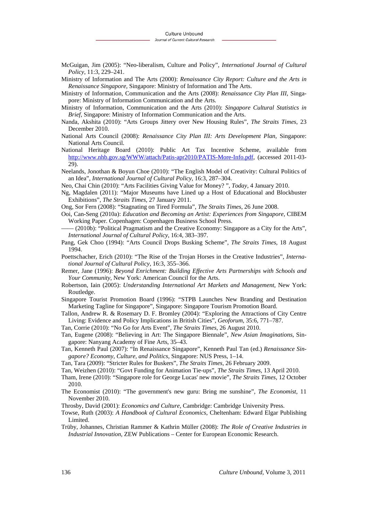McGuigan, Jim (2005): "Neo-liberalism, Culture and Policy", *International Journal of Cultural Policy*, 11:3, 229–241.

Ministry of Information and The Arts (2000): *Renaissance City Report: Culture and the Arts in Renaissance Singapore*, Singapore: Ministry of Information and The Arts.

Ministry of Information, Communication and the Arts (2008): *Renaissance City Plan III*, Singapore: Ministry of Information Communication and the Arts.

Ministry of Information, Communication and the Arts (2010): *Singapore Cultural Statistics in Brief*, Singapore: Ministry of Information Communication and the Arts.

- Nanda, Akshita (2010): "Arts Groups Jittery over New Housing Rules", *The Straits Times*, 23 December 2010.
- National Arts Council (2008): *Renaissance City Plan III: Arts Development Plan*, Singapore: National Arts Council.
- National Heritage Board (2010): Public Art Tax Incentive Scheme, available from http://www.nhb.gov.sg/WWW/attach/Patis-apr2010/PATIS-More-Info.pdf, (accessed 2011-03- 29).
- Neelands, Jonothan & Boyun Choe (2010): "The English Model of Creativity: Cultural Politics of an Idea", *International Journal of Cultural Policy*, 16:3, 287–304.
- Neo, Chai Chin (2010): "Arts Facilities Giving Value for Money? ", *Today*, 4 January 2010.
- Ng, Magdalen (2011): "Major Museums have Lined up a Host of Educational and Blockbuster Exhibitions", *The Straits Times*, 27 January 2011.
- Ong, Sor Fern (2008): "Stagnating on Tired Formula", *The Straits Times*, 26 June 2008.
- Ooi, Can-Seng (2010a): *Education and Becoming an Artist: Experiences from Singapore,* CIBEM Working Paper. Copenhagen: Copenhagen Business School Press.
- –––– (2010b): "Political Pragmatism and the Creative Economy: Singapore as a City for the Arts", *International Journal of Cultural Policy*, 16:4, 383–397.
- Pang, Gek Choo (1994): "Arts Council Drops Busking Scheme", *The Straits Times*, 18 August 1994.
- Poettschacher, Erich (2010): "The Rise of the Trojan Horses in the Creative Industries", *International Journal of Cultural Policy*, 16:3, 355–366.
- Remer, Jane (1996): *Beyond Enrichment: Building Effective Arts Partnerships with Schools and Your Community,* New York: American Council for the Arts.
- Robertson, Iain (2005): *Understanding International Art Markets and Management*, New York: Routledge.
- Singapore Tourist Promotion Board (1996): "STPB Launches New Branding and Destination Marketing Tagline for Singapore", Singapore: Singapore Tourism Promotion Board.
- Tallon, Andrew R. & Rosemary D. F. Bromley (2004): "Exploring the Attractions of City Centre Living: Evidence and Policy Implications in British Cities", *Geoforum*, 35:6, 771–787.

Tan, Corrie (2010): "No Go for Arts Event", *The Straits Times*, 26 August 2010.

- Tan, Eugene (2008): "Believing in Art: The Singapore Biennale", *New Asian Imaginations*, Singapore: Nanyang Academy of Fine Arts, 35–43.
- Tan, Kenneth Paul (2007): "In Renaissance Singapore", Kenneth Paul Tan (ed.) *Renaissance Singapore? Economy, Culture, and Politics*, Singapore: NUS Press, 1–14.
- Tan, Tara (2009): "Stricter Rules for Buskers", *The Straits Times*, 26 February 2009.
- Tan, Weizhen (2010): "Govt Funding for Animation Tie-ups", *The Straits Times*, 13 April 2010.
- Tham, Irene (2010): "Singapore role for George Lucas' new movie", *The Straits Times*, 12 October 2010*.*
- The Economist (2010): "The government's new guru: Bring me sunshine", *The Economist*, 11 November 2010.
- Throsby, David (2001): *Economics and Culture*, Cambridge: Cambridge University Press.
- Towse, Ruth (2003): *A Handbook of Cultural Economics*, Cheltenham: Edward Elgar Publishing Limited.
- Trüby, Johannes, Christian Rammer & Kathrin Müller (2008): *The Role of Creative Industries in Industrial Innovation*, ZEW Publications – Center for European Economic Research.